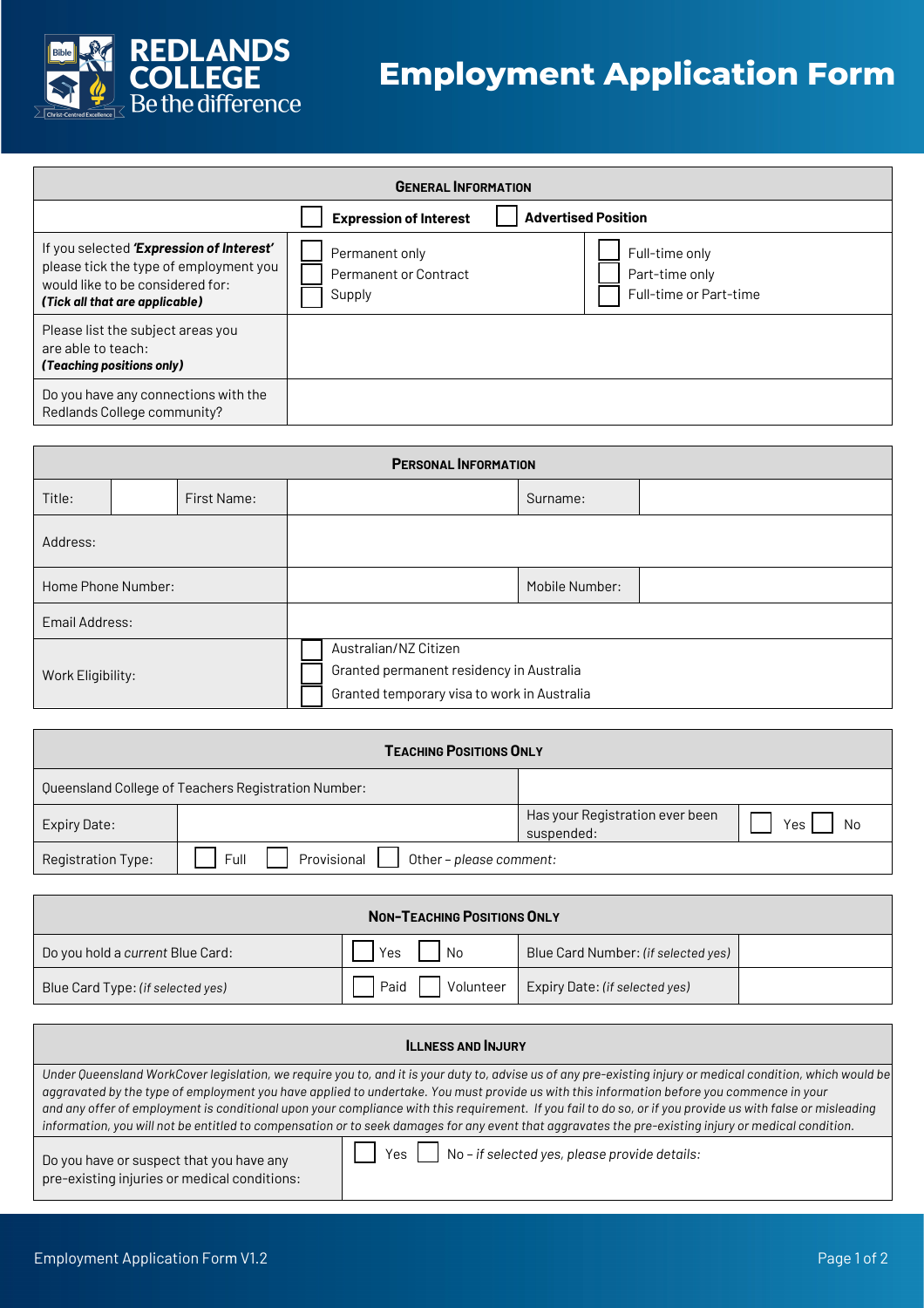

## **Employment Application Form**

| <b>GENERAL INFORMATION</b>                                                                                                                               |                                                          |                                                            |  |  |
|----------------------------------------------------------------------------------------------------------------------------------------------------------|----------------------------------------------------------|------------------------------------------------------------|--|--|
|                                                                                                                                                          | <b>Expression of Interest</b>                            | <b>Advertised Position</b>                                 |  |  |
| If you selected 'Expression of Interest'<br>please tick the type of employment you<br>would like to be considered for:<br>(Tick all that are applicable) | Permanent only<br><b>Permanent or Contract</b><br>Supply | Full-time only<br>Part-time only<br>Full-time or Part-time |  |  |
| Please list the subject areas you<br>are able to teach:<br>(Teaching positions only)                                                                     |                                                          |                                                            |  |  |
| Do you have any connections with the<br>Redlands College community?                                                                                      |                                                          |                                                            |  |  |

| <b>PERSONAL INFORMATION</b> |  |             |  |                                                                                                                  |                |  |
|-----------------------------|--|-------------|--|------------------------------------------------------------------------------------------------------------------|----------------|--|
| Title:                      |  | First Name: |  |                                                                                                                  | Surname:       |  |
| Address:                    |  |             |  |                                                                                                                  |                |  |
| Home Phone Number:          |  |             |  |                                                                                                                  | Mobile Number: |  |
| Email Address:              |  |             |  |                                                                                                                  |                |  |
| Work Eligibility:           |  |             |  | Australian/NZ Citizen<br>Granted permanent residency in Australia<br>Granted temporary visa to work in Australia |                |  |

| <b>TEACHING POSITIONS ONLY</b> |                                                     |                                               |           |  |
|--------------------------------|-----------------------------------------------------|-----------------------------------------------|-----------|--|
|                                | Queensland College of Teachers Registration Number: |                                               |           |  |
| Expiry Date:                   |                                                     | Has your Registration ever been<br>suspended: | Yes<br>Nο |  |
| Registration Type:             | Full<br>Provisional<br>Other - please comment:      |                                               |           |  |

| <b>NON-TEACHING POSITIONS ONLY</b> |                   |                                     |  |
|------------------------------------|-------------------|-------------------------------------|--|
| Do you hold a current Blue Card:   | l No<br>Yes       | Blue Card Number: (if selected yes) |  |
| Blue Card Type: (if selected yes)  | Paid<br>Volunteer | Expiry Date: (if selected yes)      |  |

| <b>ILLNESS AND INJURY</b>                                                                |                                                                                                                                                                                                                                                                                                                                                                                                                                                                                                                                                                                                                                 |  |  |
|------------------------------------------------------------------------------------------|---------------------------------------------------------------------------------------------------------------------------------------------------------------------------------------------------------------------------------------------------------------------------------------------------------------------------------------------------------------------------------------------------------------------------------------------------------------------------------------------------------------------------------------------------------------------------------------------------------------------------------|--|--|
|                                                                                          | Under Queensland WorkCover legislation, we require you to, and it is your duty to, advise us of any pre-existing injury or medical condition, which would be<br>aggravated by the type of employment you have applied to undertake. You must provide us with this information before you commence in your<br>and any offer of employment is conditional upon your compliance with this requirement. If you fail to do so, or if you provide us with false or misleading<br>information, you will not be entitled to compensation or to seek damages for any event that aggravates the pre-existing injury or medical condition. |  |  |
| Do you have or suspect that you have any<br>pre-existing injuries or medical conditions: | Yes $\vert$ No-if selected yes, please provide details:                                                                                                                                                                                                                                                                                                                                                                                                                                                                                                                                                                         |  |  |